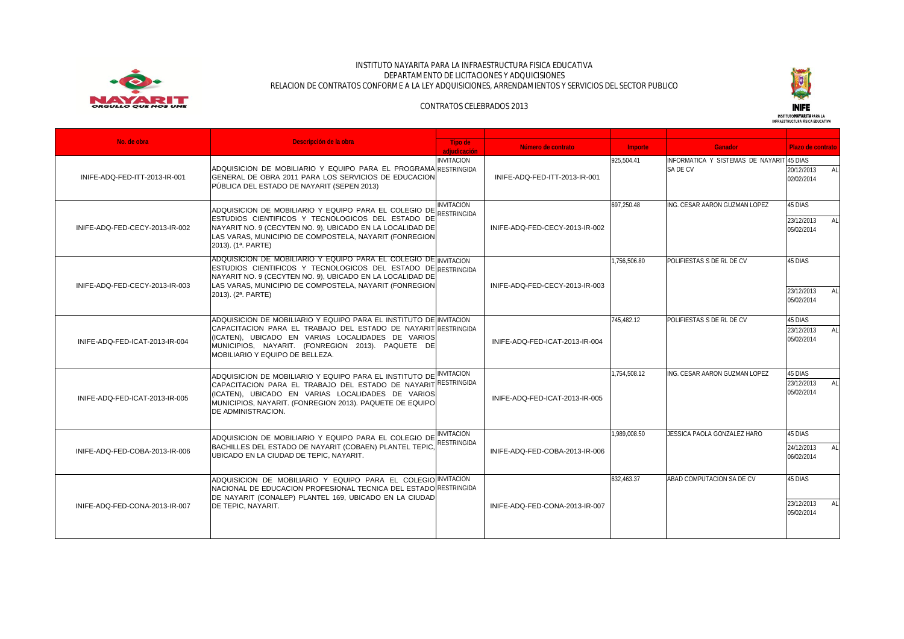

### INSTITUTO NAYARITA PARA LA INFRAESTRUCTURA FISICA EDUCATIVA DEPARTAMENTO DE LICITACIONES Y ADQUICISIONES RELACION DE CONTRATOS CONFORME A LA LEY ADQUISICIONES, ARRENDAMIENTOS Y SERVICIOS DEL SECTOR PUBLICO



# CONTRATOS CELEBRADOS 2013

INSTITUTO **NAYARITA**PARA LA<br>INFRAESTRUCTURA FÍSICA EDUCATIVA

| No. de obra                    | Descripción de la obra                                                                                                                                                                                                                                                                      |                                  |                                |                |                                                       |                                             |
|--------------------------------|---------------------------------------------------------------------------------------------------------------------------------------------------------------------------------------------------------------------------------------------------------------------------------------------|----------------------------------|--------------------------------|----------------|-------------------------------------------------------|---------------------------------------------|
|                                |                                                                                                                                                                                                                                                                                             | Tipo de<br>adiudicación          | Número de contrato             | <b>Importe</b> | <b>Ganador</b>                                        | Plazo de contrato                           |
| INIFE-ADQ-FED-ITT-2013-IR-001  | ADQUISICION DE MOBILIARIO Y EQUIPO PARA EL PROGRAMA RESTRINGIDA<br>GENERAL DE OBRA 2011 PARA LOS SERVICIOS DE EDUCACION<br>PÚBLICA DEL ESTADO DE NAYARIT (SEPEN 2013)                                                                                                                       | <b>INVITACION</b>                | INIFE-ADQ-FED-ITT-2013-IR-001  | 925.504.41     | INFORMATICA Y SISTEMAS DE NAYARIT 45 DIAS<br>SA DE CV | 20/12/2013<br>AI<br>02/02/2014              |
| INIFE-ADQ-FED-CECY-2013-IR-002 | ADQUISICION DE MOBILIARIO Y EQUIPO PARA EL COLEGIO DE RESTRINGIDA<br>ESTUDIOS CIENTIFICOS Y TECNOLOGICOS DEL ESTADO DE<br>NAYARIT NO. 9 (CECYTEN NO. 9), UBICADO EN LA LOCALIDAD DE<br>LAS VARAS, MUNICIPIO DE COMPOSTELA, NAYARIT (FONREGION<br>2013). (1 <sup>a</sup> . PARTE)            | <b>INVITACION</b>                | INIFE-ADQ-FED-CECY-2013-IR-002 | 697.250.48     | ING. CESAR AARON GUZMAN LOPEZ                         | 45 DIAS<br>23/12/2013<br>AI I<br>05/02/2014 |
| INIFE-ADQ-FED-CECY-2013-IR-003 | ADQUISICION DE MOBILIARIO Y EQUIPO PARA EL COLEGIO DE INVITACION<br>ESTUDIOS CIENTIFICOS Y TECNOLOGICOS DEL ESTADO DE RESTRINGIDA<br>NAYARIT NO. 9 (CECYTEN NO. 9), UBICADO EN LA LOCALIDAD DE<br>LAS VARAS, MUNICIPIO DE COMPOSTELA, NAYARIT (FONREGION<br>2013). (2 <sup>a</sup> . PARTE) |                                  | INIFE-ADQ-FED-CECY-2013-IR-003 | 1.756.506.80   | POLIFIESTAS S DE RL DE CV                             | 45 DIAS<br>23/12/2013<br>AI<br>05/02/2014   |
| INIFE-ADQ-FED-ICAT-2013-IR-004 | ADQUISICION DE MOBILIARIO Y EQUIPO PARA EL INSTITUTO DE INVITACION<br>CAPACITACION PARA EL TRABAJO DEL ESTADO DE NAYARIT RESTRINGIDA<br>(ICATEN), UBICADO EN VARIAS LOCALIDADES DE VARIOS<br>MUNICIPIOS, NAYARIT. (FONREGION 2013). PAQUETE DE<br>MOBILIARIO Y EQUIPO DE BELLEZA.           |                                  | INIFE-ADQ-FED-ICAT-2013-IR-004 | 745.482.12     | POLIFIESTAS S DE RL DE CV                             | 45 DIAS<br>23/12/2013<br>AI<br>05/02/2014   |
| INIFE-ADQ-FED-ICAT-2013-IR-005 | ADQUISICION DE MOBILIARIO Y EQUIPO PARA EL INSTITUTO DE INVITACION<br>CAPACITACION PARA EL TRABAJO DEL ESTADO DE NAYARIT RESTRINGIDA<br>(ICATEN), UBICADO EN VARIAS LOCALIDADES DE VARIOS<br>MUNICIPIOS, NAYARIT. (FONREGION 2013). PAQUETE DE EQUIPO<br>DE ADMINISTRACION.                 |                                  | INIFE-ADQ-FED-ICAT-2013-IR-005 | 1.754.508.12   | ING. CESAR AARON GUZMAN LOPEZ                         | 45 DIAS<br>23/12/2013<br>AI<br>05/02/2014   |
| INIFE-ADQ-FED-COBA-2013-IR-006 | ADQUISICION DE MOBILIARIO Y EQUIPO PARA EL COLEGIO DE<br>BACHILLES DEL ESTADO DE NAYARIT (COBAEN) PLANTEL TEPIC,<br>UBICADO EN LA CIUDAD DE TEPIC. NAYARIT.                                                                                                                                 | <b>INVITACION</b><br>RESTRINGIDA | INIFE-ADQ-FED-COBA-2013-IR-006 | 1.989.008.50   | JESSICA PAOLA GONZALEZ HARO                           | 45 DIAS<br>24/12/2013<br>AI I<br>06/02/2014 |
| INIFE-ADQ-FED-CONA-2013-IR-007 | ADQUISICION DE MOBILIARIO Y EQUIPO PARA EL COLEGIO INVITACION<br>NACIONAL DE EDUCACION PROFESIONAL TECNICA DEL ESTADO RESTRINGIDA<br>DE NAYARIT (CONALEP) PLANTEL 169, UBICADO EN LA CIUDAD<br>DE TEPIC. NAYARIT.                                                                           |                                  | INIFE-ADQ-FED-CONA-2013-IR-007 | 632.463.37     | ABAD COMPUTACION SA DE CV                             | 45 DIAS<br>23/12/2013<br>AI I<br>05/02/2014 |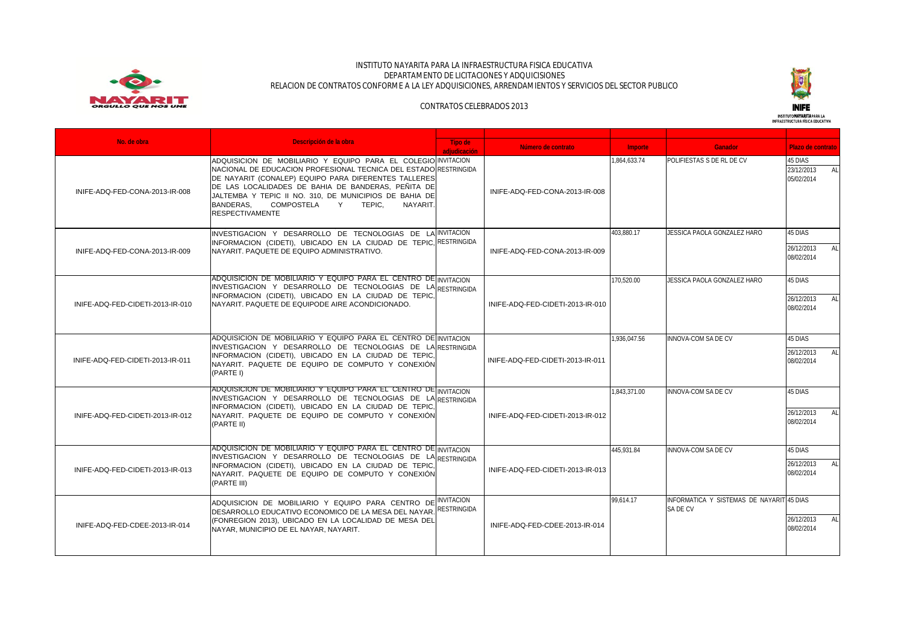

### INSTITUTO NAYARITA PARA LA INFRAESTRUCTURA FISICA EDUCATIVA DEPARTAMENTO DE LICITACIONES Y ADQUICISIONES RELACION DE CONTRATOS CONFORME A LA LEY ADQUISICIONES, ARRENDAMIENTOS Y SERVICIOS DEL SECTOR PUBLICO



### CONTRATOS CELEBRADOS 2013



| No. de obra                      | Descripción de la obra                                                                                                                                                                                                                                                                                                                                                                     |                         |                                  |              |                                                       |                                             |
|----------------------------------|--------------------------------------------------------------------------------------------------------------------------------------------------------------------------------------------------------------------------------------------------------------------------------------------------------------------------------------------------------------------------------------------|-------------------------|----------------------------------|--------------|-------------------------------------------------------|---------------------------------------------|
|                                  |                                                                                                                                                                                                                                                                                                                                                                                            | Tipo de<br>adiudicación | Número de contrato               | Importe      | <b>Ganador</b>                                        | Plazo de contrato                           |
| INIFE-ADQ-FED-CONA-2013-IR-008   | ADQUISICION DE MOBILIARIO Y EQUIPO PARA EL COLEGIO INVITACION<br>NACIONAL DE EDUCACION PROFESIONAL TECNICA DEL ESTADO RESTRINGIDA<br>DE NAYARIT (CONALEP) EQUIPO PARA DIFERENTES TALLERES<br>DE LAS LOCALIDADES DE BAHIA DE BANDERAS. PEÑITA DE<br>JALTEMBA Y TEPIC II NO. 310, DE MUNICIPIOS DE BAHIA DE<br><b>BANDERAS.</b><br>COMPOSTELA Y TEPIC,<br>NAYARIT.<br><b>RESPECTIVAMENTE</b> |                         | INIFE-ADQ-FED-CONA-2013-IR-008   | 1.864.633.74 | POLIFIESTAS S DE RL DE CV                             | 45 DIAS<br>23/12/2013<br>AI<br>05/02/2014   |
| INIFE-ADQ-FED-CONA-2013-IR-009   | INVESTIGACION Y DESARROLLO DE TECNOLOGIAS DE LA INVITACION<br>INFORMACION (CIDETI), UBICADO EN LA CIUDAD DE TEPIC, RESTRINGIDA<br>NAYARIT. PAQUETE DE EQUIPO ADMINISTRATIVO.                                                                                                                                                                                                               |                         | INIFE-ADQ-FED-CONA-2013-IR-009   | 403.880.17   | JESSICA PAOLA GONZALEZ HARO                           | 45 DIAS<br>26/12/2013<br>AI I<br>08/02/2014 |
| INIFE-ADQ-FED-CIDETI-2013-IR-010 | ADQUISICION DE MOBILIARIO Y EQUIPO PARA EL CENTRO DE INVITACION<br>INVESTIGACION Y DESARROLLO DE TECNOLOGIAS DE LA RESTRINGIDA<br>INFORMACION (CIDETI), UBICADO EN LA CIUDAD DE TEPIC.<br>NAYARIT, PAQUETE DE EQUIPODE AIRE ACONDICIONADO.                                                                                                                                                 |                         | INIFE-ADQ-FED-CIDETI-2013-IR-010 | 170.520.00   | JESSICA PAOLA GONZALEZ HARO                           | 45 DIAS<br>26/12/2013<br>AI<br>08/02/2014   |
| INIFE-ADQ-FED-CIDETI-2013-IR-011 | ADQUISICION DE MOBILIARIO Y EQUIPO PARA EL CENTRO DE INVITACION<br>INVESTIGACION Y DESARROLLO DE TECNOLOGIAS DE LA RESTRINGIDA<br>INFORMACION (CIDETI), UBICADO EN LA CIUDAD DE TEPIC,<br>NAYARIT, PAQUETE DE EQUIPO DE COMPUTO Y CONEXIÓN<br>(PARTE I)                                                                                                                                    |                         | INIFE-ADQ-FED-CIDETI-2013-IR-011 | 1.936.047.56 | <b>INNOVA-COM SA DE CV</b>                            | 45 DIAS<br>26/12/2013<br>ALI<br>08/02/2014  |
| INIFE-ADO-FED-CIDETI-2013-IR-012 | ADQUISICION DE MOBILIARIO Y EQUIPO PARA EL CENTRO DE INVITACION<br>INVESTIGACION Y DESARROLLO DE TECNOLOGIAS DE LA RESTRINGIDA<br>INFORMACION (CIDETI), UBICADO EN LA CIUDAD DE TEPIC,<br>NAYARIT, PAQUETE DE EQUIPO DE COMPUTO Y CONEXIÓN<br>(PARTE II)                                                                                                                                   |                         | INIFE-ADO-FED-CIDETI-2013-IR-012 | 1.843.371.00 | INNOVA-COM SA DE CV                                   | 45 DIAS<br>26/12/2013<br>AI I<br>08/02/2014 |
| INIFE-ADO-FED-CIDETI-2013-IR-013 | ADQUISICION DE MOBILIARIO Y EQUIPO PARA EL CENTRO DE INVITACION<br>INVESTIGACION Y DESARROLLO DE TECNOLOGIAS DE LA RESTRINGIDA<br>INFORMACION (CIDETI), UBICADO EN LA CIUDAD DE TEPIC,<br>NAYARIT, PAQUETE DE EQUIPO DE COMPUTO Y CONEXIÓN<br>(PARTE III)                                                                                                                                  |                         | INIFE-ADQ-FED-CIDETI-2013-IR-013 | 445.931.84   | INNOVA-COM SA DE CV                                   | 45 DIAS<br>26/12/2013<br>AI I<br>08/02/2014 |
| INIFE-ADQ-FED-CDEE-2013-IR-014   | ADQUISICION DE MOBILIARIO Y EQUIPO PARA CENTRO DE INVITACION<br>DESARROLLO EDUCATIVO ECONOMICO DE LA MESA DEL NAYAR. RESTRINGIDA<br>(FONREGION 2013), UBICADO EN LA LOCALIDAD DE MESA DEL<br>NAYAR, MUNICIPIO DE EL NAYAR, NAYARIT.                                                                                                                                                        |                         | INIFE-ADQ-FED-CDEE-2013-IR-014   | 99.614.17    | INFORMATICA Y SISTEMAS DE NAYARIT 45 DIAS<br>SA DF CV | 26/12/2013<br>AL.<br>08/02/2014             |